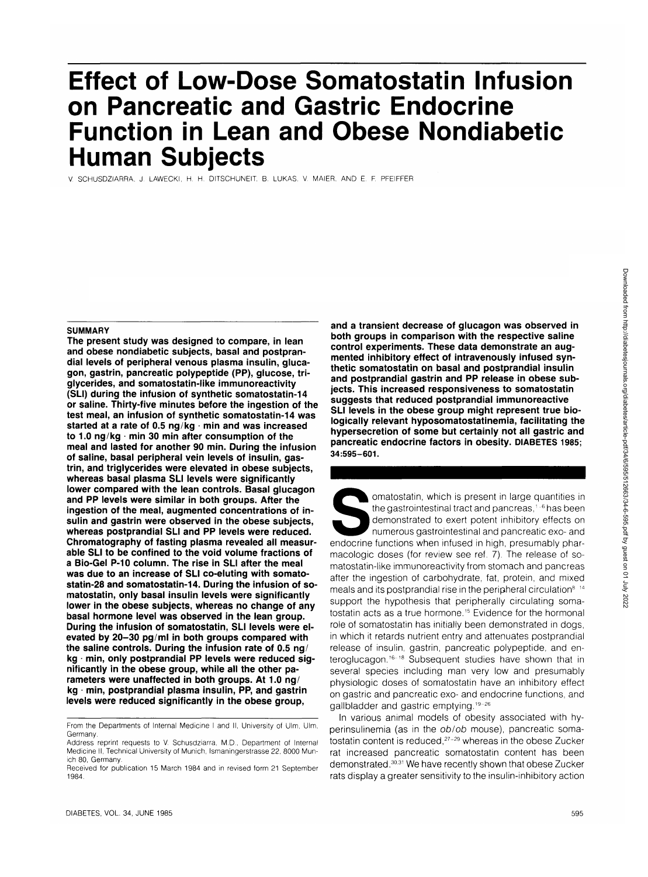# **Effect of Low-Dose Somatostatin Infusion on Pancreatic and Gastric Endocrine Function in Lean and Obese Nondiabetic Human Subjects**

V. SCHUSDZIARRA, J. LAWECKI, H. H. DITSCHUNEIT. B. LUKAS. V. MAIER. AND E. F. PFEIFFER

#### **SUMMARY**

**The present study was designed to compare, in lean and obese nondiabetic subjects, basal and postprandial levels of peripheral venous plasma insulin, glucagon, gastrin, pancreatic polypeptide (PP), glucose, triglycerides, and somatostatin-like immunoreactivity (SLI) during the infusion of synthetic somatostatin-14 or saline. Thirty-five minutes before the ingestion of the test meal, an infusion of synthetic somatostatin-14 was started at a rate of 0.5 ng/kg • min and was increased** to 1.0 ng/kg · min 30 min after consumption of the **meal and lasted for another 90 min. During the infusion of saline, basal peripheral vein levels of insulin, gastrin, and triglycerides were elevated in obese subjects, whereas basal plasma SLI levels were significantly lower compared with the lean controls. Basal glucagon and PP levels were similar in both groups. After the ingestion of the meal, augmented concentrations of insulin and gastrin were observed in the obese subjects, whereas postprandial SLI and PP levels were reduced. Chromatography of fasting plasma revealed all measurable SLI to be confined to the void volume fractions of a Bio-Gel P-10 column. The rise in SLI after the meal was due to an increase of SLI co-eluting with somatostatin-28 and somatostatin-14. During the infusion of somatostatin, only basal insulin levels were significantly lower in the obese subjects, whereas no change of any basal hormone level was observed in the lean group. During the infusion of somatostatin, SLI levels were elevated by 20-30 pg/ml in both groups compared with the saline controls. During the infusion rate of 0.5 ng/ kg • min, only postprandial PP levels were reduced significantly in the obese group, while all the other parameters were unaffected in both groups. At 1.0 ng/ kg - min, postprandial plasma insulin, PP, and gastrin levels were reduced significantly in the obese group,**

From the Departments of Internal Medicine I and II, University of Ulm, Ulm, **Germany** 

**and a transient decrease of glucagon was observed in both groups in comparison with the respective saline control experiments. These data demonstrate an augmented inhibitory effect of intravenously infused synthetic somatostatin on basal and postprandial insulin and postprandial gastrin and PP release in obese subjects. This increased responsiveness to somatostatin suggests that reduced postprandial immunoreactive SLI levels in the obese group might represent true biologically relevant hyposomatostatinemia, facilitating the hypersecretion of some but certainly not all gastric and pancreatic endocrine factors in obesity. DIABETES 1985; 34:595-601.**

Somatostatin, which is present in large quantities in<br>the gastrointestinal tract and pancreas,<sup>1-6</sup> has been<br>demonstrated to exert potent inhibitory effects on<br>numerous gastrointestinal and pancreatic exo- and<br>endocrine fu the gastrointestinal tract and pancreas, $1-6$  has been demonstrated to exert potent inhibitory effects on numerous gastrointestinal and pancreatic exo- and macologic doses (for review see ref. 7). The release of somatostatin-like immunoreactivity from stomach and pancreas after the ingestion of carbohydrate, fat, protein, and mixed meals and its postprandial rise in the peripheral circulation8 14 support the hypothesis that peripherally circulating somatostatin acts as a true hormone.<sup>15</sup> Evidence for the hormonal role of somatostatin has initially been demonstrated in dogs, in which it retards nutrient entry and attenuates postprandial release of insulin, gastrin, pancreatic polypeptide, and enteroglucagon.<sup>16-18</sup> Subsequent studies have shown that in several species including man very low and presumably physiologic doses of somatostatin have an inhibitory effect on gastric and pancreatic exo- and endocrine functions, and on gastric and partersations one and one<br>callbladder and gastric emptying 19-26

In various animal models of obesity associated with hyperinsulinemia (as in the ob/ob mouse), pancreatic soma-.<br>tostatin content is reduced,<sup>27-29</sup> whereas in the obese Zucker rat increased pancreatic somatostatin content has been demonstrated.<sup>30,31</sup> We have recently shown that obese Zucker rats display a greater sensitivity to the insulin-inhibitory action

Address reprint requests to V. Schusdziarra, M.D., Department of Internal Medicine II, Technical University of Munich, Ismaningerstrasse 22, 8000 Munich 80, Germany.

Received for publication 15 March 1984 and in revised form 21 September 1984.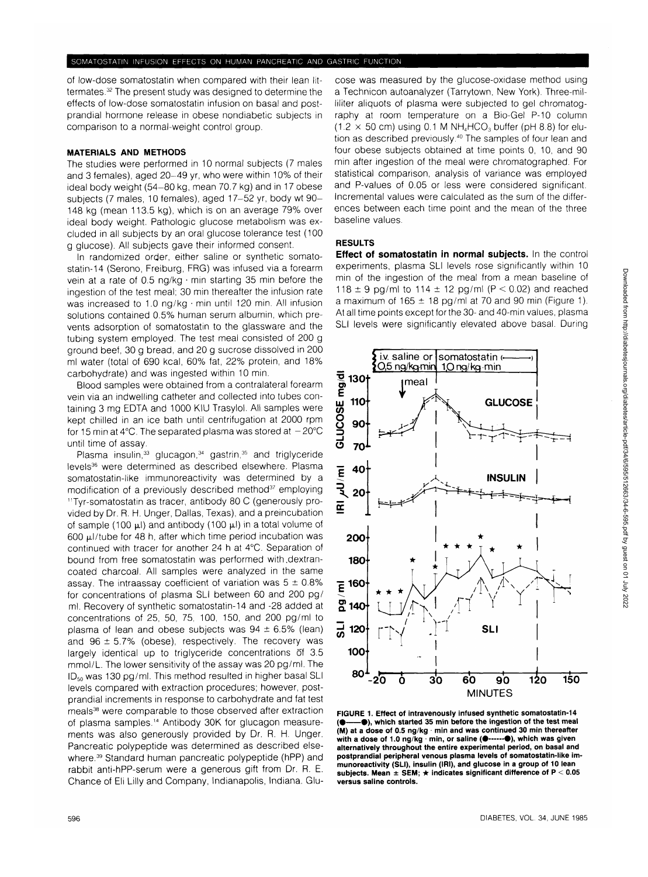of low-dose somatostatin when compared with their lean littermates.<sup>32</sup> The present study was designed to determine the effects of low-dose somatostatin infusion on basal and postprandial hormone release in obese nondiabetic subjects in comparison to a normal-weight control group.

### **MATERIALS AND METHODS**

The studies were performed in 10 normal subjects (7 males and 3 females), aged 20-49 yr, who were within 10% of their ideal body weight (54-80 kg, mean 70.7 kg) and in 17 obese subjects (7 males, 10 females), aged 17-52 yr, body wt 90- 148 kg (mean 113.5 kg), which is on an average 79% over ideal body weight. Pathologic glucose metabolism was excluded in all subjects by an oral glucose tolerance test (100 g glucose). All subjects gave their informed consent.

In randomized order, either saline or synthetic somatostatin-14 (Serono, Freiburg, FRG) was infused via a forearm vein at a rate of 0.5 ng/kg • min starting 35 min before the ingestion of the test meal; 30 min thereafter the infusion rate was increased to 1.0 ng/kg • min until 120 min. All infusion solutions contained 0.5% human serum albumin, which prevents adsorption of somatostatin to the glassware and the tubing system employed. The test meal consisted of 200 g ground beef, 30 g bread, and 20 g sucrose dissolved in 200 ml water (total of 690 kcal, 60% fat, 22% protein, and 18% carbohydrate) and was ingested within 10 min.

Blood samples were obtained from a contralateral forearm vein via an indwelling catheter and collected into tubes containing 3 mg EDTA and 1000 KIU Trasylol. All samples were kept chilled in an ice bath until centrifugation at 2000 rpm for 15 min at 4°C. The separated plasma was stored at  $-20^{\circ}$ C until time of assay.

Plasma insulin,<sup>33</sup> glucagon,<sup>34</sup> gastrin,<sup>35</sup> and triglyceride levels<sup>36</sup> were determined as described elsewhere. Plasma somatostatin-like immunoreactivity was determined by a modification of a previously described method<sup>37</sup> employing <sup>11</sup>Tyr-somatostatin as tracer, antibody 80 C (generously provided by Dr. R. H. Unger, Dallas, Texas), and a preincubation of sample (100  $\mu$ l) and antibody (100  $\mu$ l) in a total volume of 600  $\mu$ I/tube for 48 h, after which time period incubation was continued with tracer for another 24 h at 4°C. Separation of bound from free somatostatin was performed with.dextrancoated charcoal. All samples were analyzed in the same assay. The intraassay coefficient of variation was  $5 \pm 0.8\%$ for concentrations of plasma SLI between 60 and 200 pg/ ml. Recovery of synthetic somatostatin-14 and -28 added at concentrations of 25, 50, 75, 100, 150, and 200 pg/ml to plasma of lean and obese subjects was  $94 \pm 6.5\%$  (lean) and  $96 \pm 5.7\%$  (obese), respectively. The recovery was largely identical up to triglyceride concentrations of 3.5 mmol/L. The lower sensitivity of the assay was 20 pg/ml. The  $ID_{50}$  was 130 pg/ml. This method resulted in higher basal SLI levels compared with extraction procedures; however, postprandial increments in response to carbohydrate and fat test meals<sup>38</sup> were comparable to those observed after extraction of plasma samples.<sup>14</sup> Antibody 30K for glucagon measurements was also generously provided by Dr. R. H. Unger. Pancreatic polypeptide was determined as described elsewhere.<sup>39</sup> Standard human pancreatic polypeptide (hPP) and rabbit anti-hPP-serum were a generous gift from Dr. R. E. Chance of Eli Lilly and Company, Indianapolis, Indiana. Glu-

cose was measured by the glucose-oxidase method using a Technicon autoanalyzer (Tarrytown, New York). Three-milliliter aliquots of plasma were subjected to gel chromatography at room temperature on a Bio-Gel P-10 column  $(1.2 \times 50 \text{ cm})$  using 0.1 M NH<sub>4</sub>HCO<sub>3</sub> buffer (pH 8.8) for elution as described previously.<sup>40</sup> The samples of four lean and four obese subjects obtained at time points 0, 10, and 90 min after ingestion of the meal were chromatographed. For statistical comparison, analysis of variance was employed and P-values of 0.05 or less were considered significant. Incremental values were calculated as the sum of the differences between each time point and the mean of the three baseline values.

## **RESULTS**

**Effect of somatostatin in normal subjects.** In the control experiments, plasma SLI levels rose significantly within 10 min of the ingestion of the meal from a mean baseline of 118  $\pm$  9 pg/ml to 114  $\pm$  12 pg/ml (P < 0.02) and reached a maximum of  $165 \pm 18$  pg/ml at 70 and 90 min (Figure 1). At all time points except for the 30- and 40-min values, plasma SLI levels were significantly elevated above basal. During



**FIGURE 1. Effect of intravenously infused synthetic somatostatin-14 ( • •) , which started 35 min before the ingestion of the test meal (M) at a dose of 0.5 ng/kg min and was continued 30 min thereafter** with a dose of 1.0 ng/kg min, or saline ( $\bullet$ ------ $\bullet$ ), which was given **alternatively throughout the entire experimental period, on basal and postprandial peripheral venous plasma levels of somatostatin-like im-munoreactivity (SLI), insulin (IRI), and glucose in a group of 10 lean subjects. Mean ± SEM; • indicates significant difference of P < 0.05 versus saline controls.**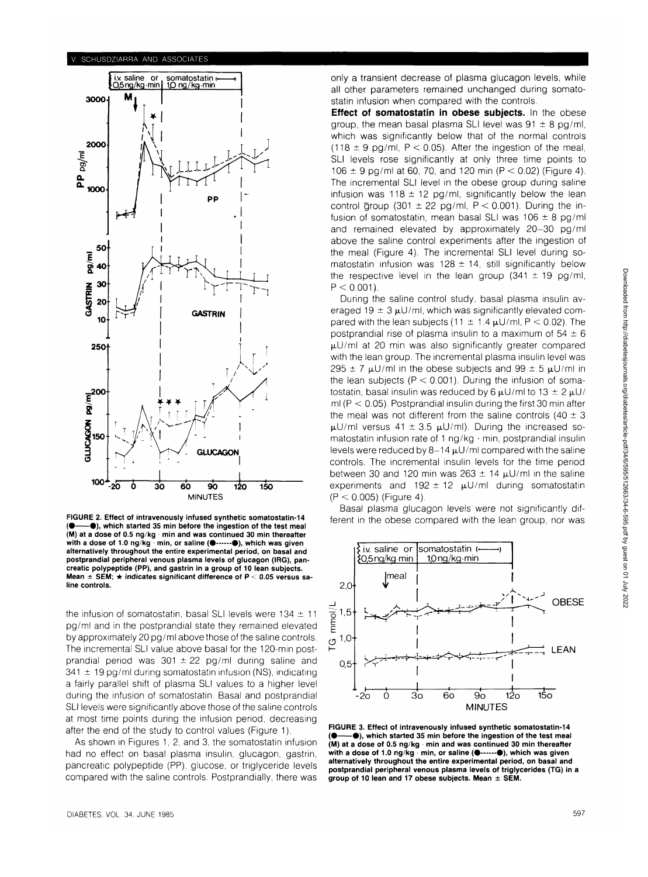

**FIGURE 2. Effect of intravenously infused synthetic somatostatin-14 ( • •) , which started 35 min before the ingestion of the test meal (M) at a dose of 0.5 ng/kg min and was continued 30 min thereafter** with a dose of 1.0 ng/kg min, or saline ( $\bullet$ ------ $\bullet$ ), which was given **alternatively throughout the entire experimental period, on basal and postprandial peripheral venous plasma levels of glucagon (IRG), pancreatic polypeptide (PP), and gastrin in a group of 10 lean subjects.** Mean ± SEM; ★ indicates significant difference of P < 0.05 versus sa**line controls.**

the infusion of somatostatin, basal SLI levels were  $134 \pm 11$ pg/ml and in the postprandial state they remained elevated by approximately 20 pg/ml above those of the saline controls. The incremental SLI value above basal for the 120-min postprandial period was  $301 \pm 22$  pg/ml during saline and  $341 \pm 19$  pg/ml during somatostatin infusion (NS), indicating a fairly parallel shift of plasma SLI values to a higher level during the infusion of somatostatin. Basal and postprandial SLI levels were significantly above those of the saline controls at most time points during the infusion period, decreasing after the end of the study to control values (Figure 1).

As shown in Figures 1, 2, and 3, the somatostatin infusion had no effect on basal plasma insulin, glucagon, gastrin, pancreatic polypeptide (PP), glucose, or triglyceride levels compared with the saline controls. Postprandially, there was only a transient decrease of plasma glucagon levels, while all other parameters remained unchanged during somatostatin infusion when compared with the controls.

**Effect of somatostatin in obese subjects.** In the obese group, the mean basal plasma SLI level was  $91 \pm 8$  pg/ml, which was significantly below that of the normal controls (118  $\pm$  9 pg/ml, P < 0.05). After the ingestion of the meal, SLI levels rose significantly at only three time points to 106  $\pm$  9 pg/ml at 60, 70, and 120 min (P < 0.02) (Figure 4). The incremental SLI level in the obese group during saline infusion was  $118 \pm 12$  pg/ml, significantly below the lean control group (301  $\pm$  22 pg/ml, P < 0.001). During the infusion of somatostatin, mean basal SLI was  $106 \pm 8$  pg/ml and remained elevated by approximately 20-30 pg/ml above the saline control experiments after the ingestion of the meal (Figure 4). The incremental SLI level during somatostatin infusion was  $128 \pm 14$ , still significantly below the respective level in the lean group  $(341 \pm 19 \text{ pg/ml})$ ,  $P < 0.001$ ).

During the saline control study, basal plasma insulin averaged 19  $\pm$  3  $\mu$ U/ml, which was significantly elevated compared with the lean subjects (11  $\pm$  1.4  $\mu$ U/ml, P < 0.02). The postprandial rise of plasma insulin to a maximum of  $54 \pm 6$  $\mu$ U/ml at 20 min was also significantly greater compared with the lean group. The incremental plasma insulin level was  $295 \pm 7$  µU/ml in the obese subjects and 99  $\pm$  5 µU/ml in the lean subjects ( $P < 0.001$ ). During the infusion of somatostatin, basal insulin was reduced by 6  $\mu$ U/ml to 13  $\pm$  2  $\mu$ U/ ml ( $P < 0.05$ ). Postprandial insulin during the first 30 min after the meal was not different from the saline controls (40  $\pm$  3  $\mu$ U/ml versus 41  $\pm$  3.5  $\mu$ U/ml). During the increased somatostatin infusion rate of 1 ng/kg • min, postprandial insulin levels were reduced by  $8-14 \mu U/ml$  compared with the saline controls. The incremental insulin levels for the time period between 30 and 120 min was 263  $\pm$  14  $\mu$ U/ml in the saline experiments and 192  $\pm$  12  $\mu$ U/ml during somatostatin  $(P < 0.005)$  (Figure 4).

Basal plasma glucagon levels were not significantly different in the obese compared with the lean group, nor was



**FIGURE 3. Effect of intravenously infused synthetic somatostatin-14 ( • •) , which started 35 min before the ingestion of the test meal** (M) at a dose of 0.5 ng/kg · min and was continued 30 min thereafter with a dose of 1.0 ng/kg min, or saline ( $\bullet$ ------ $\bullet$ ), which was given **alternatively throughout the entire experimental period, on basal and postprandial peripheral venous plasma levels of triglycerides (TG) in a group of 10 lean and 17 obese subjects. Mean ± SEM.**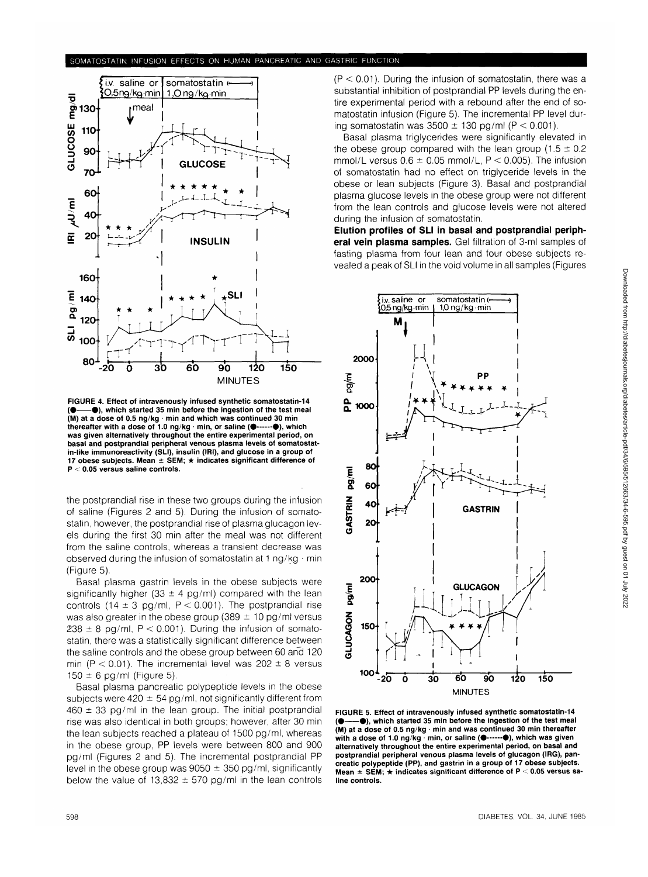

**FIGURE 4. Effect of intravenously infused synthetic somatostatin-14 ( • •) , which started 35 min before the ingestion of the test meal (M) at a dose of 0.5 ng/kg min and which was continued 30 min** thereafter with a dose of 1.0 ng/kg · min, or saline ( $\bullet$ ----- $\bullet$ ), which **was given alternatively throughout the entire experimental period, on basal and postprandial peripheral venous plasma levels of somatostatin-like immunoreactivity (SLI), insulin (IRI), and glucose in a group of 17 obese subjects. Mean ± SEM; \* indicates significant difference of P < 0.05 versus saline controls.**

the postprandial rise in these two groups during the infusion of saline (Figures 2 and 5). During the infusion of somatostatin, however, the postprandial rise of plasma glucagon levels during the first 30 min after the meal was not different from the saline controls, whereas a transient decrease was observed during the infusion of somatostatin at 1 ng/kg  $\cdot$  min (Figure 5).

Basal plasma gastrin levels in the obese subjects were significantly higher (33  $\pm$  4 pg/ml) compared with the lean controls (14  $\pm$  3 pg/ml, P < 0.001). The postprandial rise was also greater in the obese group (389  $\pm$  10 pg/ml versus  $238 \pm 8$  pg/ml, P < 0.001). During the infusion of somatostatin, there was a statistically significant difference between the saline controls and the obese group between 60 and 120 min (P < 0.01). The incremental level was  $202 \pm 8$  versus  $150 \pm 6$  pg/ml (Figure 5).

Basal plasma pancreatic polypeptide levels in the obese subjects were 420  $\pm$  54 pg/ml, not significantly different from  $460 \pm 33$  pg/ml in the lean group. The initial postprandial rise was also identical in both groups; however, after 30 min the lean subjects reached a plateau of 1500 pg/ml, whereas in the obese group, PP levels were between 800 and 900 pg/ml (Figures 2 and 5). The incremental postprandial PP level in the obese group was  $9050 \pm 350$  pg/ml, significantly below the value of 13,832  $\pm$  570 pg/ml in the lean controls

 $(P < 0.01)$ . During the infusion of somatostatin, there was a substantial inhibition of postprandial PP levels during the entire experimental period with a rebound after the end of somatostatin infusion (Figure 5). The incremental PP level during somatostatin was  $3500 \pm 130$  pg/ml (P < 0.001).

Basal plasma triglycerides were significantly elevated in the obese group compared with the lean group  $(1.5 \pm 0.2)$ mmol/L versus  $0.6 \pm 0.05$  mmol/L, P < 0.005). The infusion of somatostatin had no effect on triglyceride levels in the obese or lean subjects (Figure 3). Basal and postprandial plasma glucose levels in the obese group were not different from the lean controls and glucose levels were not altered during the infusion of somatostatin.

**Elution profiles of SLI in basal and postprandial peripheral vein plasma samples.** Gel filtration of 3-ml samples of fasting plasma from four lean and four obese subjects revealed a peak of SLI in the void volume in all samples (Figures



**FIGURE 5. Effect of intravenously infused synthetic somatostatin-14 ( • •) , which started 35 min before the ingestion of the test meal (M) at a dose of 0.5 ng/kg - min and was continued 30 min thereafter with a dose of 1.0 ng/kg · min, or saline (** $\bullet$ **------** $\bullet$ **), which was given alternatively throughout the entire experimental period, on basal and postprandial peripheral venous plasma levels of glucagon (IRG), pancreatic polypeptide (PP), and gastrin in a group of 17 obese subjects. Mean ± SEM; • indicates significant difference of P < 0.05 versus saline controls.**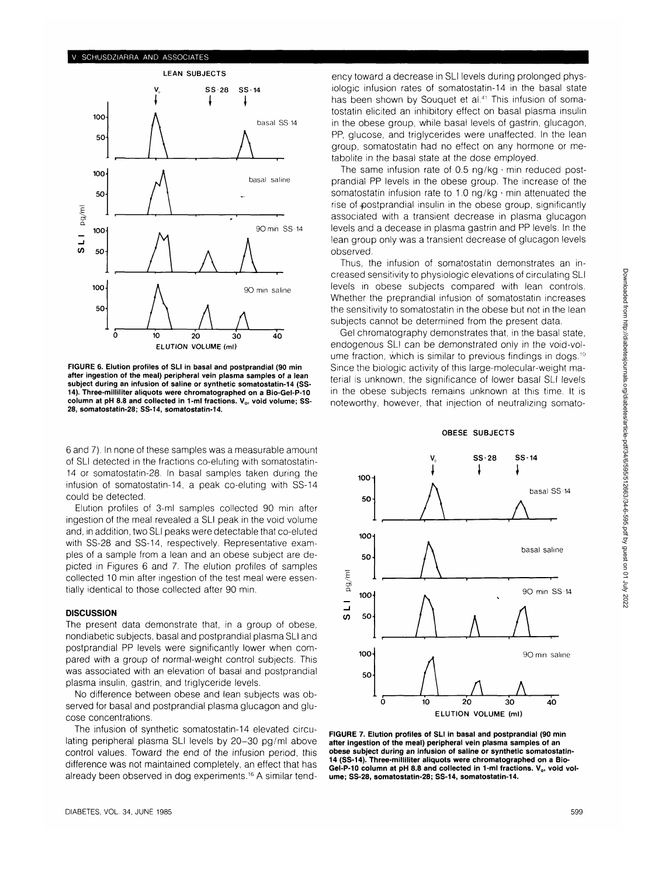#### SCHUSDZIARRA AND ASSOCIATES



**FIGURE 6. Elution profiles of SLI in basal and postprandial (90 min after ingestion of the meal) peripheral vein plasma samples of a lean subject during an infusion of saline or synthetic somatostatin-14 (SS-14). Three-milliliter aliquots were chromatographed on a Bio-Gel-P-10** column at pH 8.8 and collected in 1-ml fractions. V<sub>o</sub>, void volume; SS-**28, somatostatin-28; SS-14, somatostatin-14.**

6 and 7). In none of these samples was a measurable amount of SLI detected in the fractions co-eluting with somatostatin-14 or somatostatin-28. In basal samples taken during the infusion of somatostatin-14, a peak co-eluting with SS-14 could be detected.

Elution profiles of 3-ml samples collected 90 min after ingestion of the meal revealed a SLI peak in the void volume and, in addition, two SLI peaks were detectable that co-eluted with SS-28 and SS-14, respectively. Representative examples of a sample from a lean and an obese subject are depicted in Figures 6 and 7. The elution profiles of samples collected 10 min after ingestion of the test meal were essentially identical to those collected after 90 min.

# **DISCUSSION**

The present data demonstrate that, in a group of obese, nondiabetic subjects, basal and postprandial plasma SLI and postprandial PP levels were significantly lower when compared with a group of normal-weight control subjects. This was associated with an elevation of basal and postprandial plasma insulin, gastrin, and triglyceride levels.

No difference between obese and lean subjects was observed for basal and postprandial plasma glucagon and glucose concentrations.

The infusion of synthetic somatostatin-14 elevated circulating peripheral plasma SLI levels by 20-30 pg/ml above control values. Toward the end of the infusion period, this difference was not maintained completely, an effect that has already been observed in dog experiments.<sup>16</sup> A similar tendency toward a decrease in SLI levels during prolonged physiologic infusion rates of somatostatin-14 in the basal state has been shown by Souquet et al.<sup>41</sup> This infusion of somatostatin elicited an inhibitory effect on basal plasma insulin in the obese group, while basal levels of gastrin, glucagon, PP, glucose, and triglycerides were unaffected. In the lean group, somatostatin had no effect on any hormone or metabolite in the basal state at the dose employed.

The same infusion rate of 0.5 ng/kg  $\cdot$  min reduced postprandial PP levels in the obese group. The increase of the somatostatin infusion rate to 1.0 ng/kg $\cdot$  min attenuated the rise of-postprandial insulin in the obese group, significantly associated with a transient decrease in plasma glucagon levels and a decease in plasma gastrin and PP levels. In the lean group only was a transient decrease of glucagon levels observed.

Thus, the infusion of somatostatin demonstrates an increased sensitivity to physiologic elevations of circulating SLI levels in obese subjects compared with lean controls. Whether the preprandial infusion of somatostatin increases the sensitivity to somatostatin in the obese but not in the lean subjects cannot be determined from the present data.

Gel chromatography demonstrates that, in the basal state, endogenous SLI can be demonstrated only in the void-volume fraction, which is similar to previous findings in dogs.<sup>10</sup> Since the biologic activity of this large-molecular-weight material is unknown, the significance of lower basal SLI levels in the obese subjects remains unknown at this time. It is noteworthy, however, that injection of neutralizing somato-

**OBESE SUBJECTS**

# **Vo SS-28 SS-14 100 basal SS-14 50 A 100 basal saline 50 90 min SS-14 100 50** 100- 90 min saline **50 A A** ō

**E^ Ol a**

**\_J (/)**

> **10 20 30 ELUTION VOLUME (ml)**

**FIGURE 7. Elution profiles of SLI in basal and postprandial (90 min after ingestion of the meal) peripheral vein plasma samples of an obese subject during an infusion of saline or synthetic somatostatin-14 (SS-14). Three-milliliter aliquots were chromatographed on a Bio-**Gel-P-10 column at pH 8.8 and collected in 1-ml fractions. V<sub>o</sub>, void vol**ume; SS-28, somatostatin-28; SS-14, somatostatin-14.**

**40**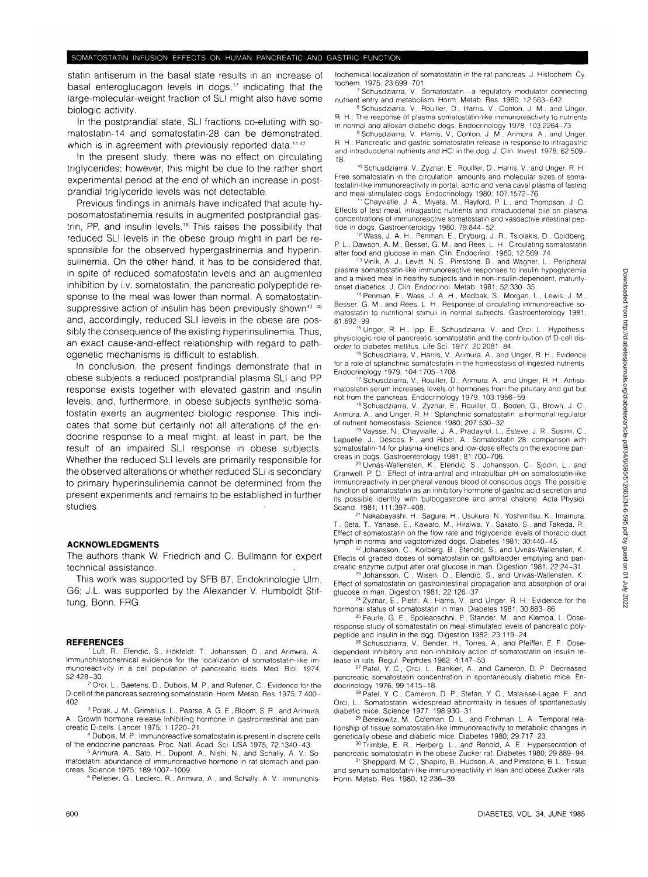statin antiserum in the basal state results in an increase of basal enteroglucagon levels in dogs,<sup>17</sup> indicating that the large-molecular-weight fraction of SLI might also have some biologic activity.

In the postprandial state, SLI fractions co-eluting with somatostatin-14 and somatostatin-28 can be demonstrated, which is in agreement with previously reported data.<sup>14,42</sup>

In the present study, there was no effect on circulating triglycerides; however, this might be due to the rather short experimental period at the end of which an increase in postprandial triglyceride levels was not detectable.

Previous findings in animals have indicated that acute hyposomatostatinemia results in augmented postprandial gastrin, PP, and insulin levels.<sup>18</sup> This raises the possibility that reduced SLI levels in the obese group might in part be responsible for the observed hypergastrinemia and hyperinsulinemia. On the other hand, it has to be considered that, in spite of reduced somatostatin levels and an augmented inhibition by i.v. somatostatin, the pancreatic polypeptide response to the meal was lower than normal. A somatostatinsuppressive action of insulin has been previously shown<sup>43</sup> <sup>48</sup> and, accordingly, reduced SLI levels in the obese are possibly the consequence of the existing hyperinsulinemia. Thus, an exact cause-and-effect relationship with regard to pathogenetic mechanisms is difficult to establish.

In conclusion, the present findings demonstrate that in obese subjects a reduced postprandial plasma SLI and PP response exists together with elevated gastrin and insulin levels, and, furthermore, in obese subjects synthetic somatostatin exerts an augmented biologic response. This indicates that some but certainly not all alterations of the endocrine response to a meal might, at least in part, be the result of an impaired SLI response in obese subjects. Whether the reduced SLI levels are primarily responsible for the observed alterations or whether reduced SLI is secondary to primary hyperinsulinemia cannot be determined from the present experiments and remains to be established in further studies.

### **ACKNOWLEDGMENTS**

The authors thank W. Friedrich and C. Bullmann for expert technical assistance.

This work was supported by SFB 87, Endokrinologie Ulm, G6; J.L. was supported by the Alexander V. Humboldt Stiftung, Bonn, FRG.

#### **REFERENCES**

Luft, R., Efendić, S., Hökfeldt, T., Johanssen, D., and Arimura, A. Immunohistochemical evidence for the localization of somatostatin-like immunoreactivity in a cell population of pancreatic islets, Med. Biol. 1974;

52:428-30. <sup>2</sup> Orci, L, Baetens, D., Dubois, M. P., and Rufener, C: Evidence for the D-cell of the pancreas secreting somatostatin. Horm. Metab. Res. 1975; 7:400- 402

 Polak, J, M., Grimelius, L, Pearse, A. G. E., Bloom, S. R., and Arimura, A.: Growth hormone release inhibiting hormone in gastrointestinal and pancreatic D-cells. Lancet 1975; 1:1220-21.

 Dubois, M. P.: Immunoreactive somatostatin is present in discrete cells of the endocrine pancreas. Proc. Natl. Acad. Sci. USA 1975; 72:1340-43.

<sup>5</sup> Arimura, A., Sato, H., Dupont, A., Nishi, N., and Schally, A. V.: Somatostatin: abundance of immunoreactive hormone in rat stomach and pancreas. Science 1975; 189:1007-1009.

Pelletier, G., Leclerc, R., Arimura, A., and Schally, A. V: Immunohis-

tochemical localization of somatostatin in the rat pancreas. J. Histochem. Cytochem. 1975; 23:699-701

 Schusdziarra, V: Somatostatin—a regulatory modulator connecting nutrient entry and metabolism. Horm. Metab. Res. 1980; 12:563-642

8 Schusdziarra, V., Rouiller, D., Harris, V., Conlon, J. M., and Unger, R. H.: The response of plasma somatostatin-like immunoreactivity to nutrients in normal and alloxan-diabetic dogs. Endocrinology 1978; 103:2264-73.

 Schusdziarra, V., Harris, V, Conlon, J. M., Arimura. A., and Unger, R. H.: Pancreatic and gastric somatostatin release in response to intragastric and intraduodenal nutrients and HCI in the dog. J. Clin. Invest, 1978; 62:509- 18.

<sup>10</sup> Schusdziarra, V., Zyznar, E., Rouiller, D., Harris, V., and Unger, R. H.: Free somatostatin in the circulation: amounts and molecular sizes of somatostatin-like immunoreactivity in portal, aortic and vena caval plasma of fasting and meal-stimulated dogs. Endocrinology 1980; 107:1572-76.

11 Chayvialle, J. A., Miyata. M., Rayford, P. L, and Thompson, J. C: Effects of test meal, intragastric nutrients and intraduodenal bile on plasma concentrations of immunoreactive somatostatin and vasoactive intestinal pep-

tide in dogs. Gastroenterology 1980; 79:844-52.<br><sup>12</sup> Wass, J. A. H., Penman, E., Dryburg, J. R., Tsiolakis, D., Goldberg,<br>P. I. Dawson, A. M. Besser, G. M., and Rees. L. H.; Circulating somatostatin Dawson, A. M., Besser, G. M., and Rees, L. H.: Circulating somatostatin

after food and glucose in man. Clin. Endocrinol. 1980; 12:569-74.<br><sup>13</sup> Vinik, A. J., Levitt, N. S., Pimstone, B., and Wagner, L.: Peripheral plasma somatostatin-like immunoreactive responses to insulin hypoglycemia and a mixed meal in healthy subjects and in non-insulin-dependent, maturityonset diabetics. J. Clin. Endocrinol. Metab. 1981; 52:330-35.

14 Penman, E., Wass, J. A. H., Medbak, S., Morgan, L., Lewis, J. M, Besser, G. M., and Rees, L. H.: Response of circulating immunoreactive somatostatin to nutritional stimuli in normal subjects. Gastroenterology 1981; 81:692-99.

' s Unger, R. H., Ipp. E., Schusdziarra, V. and Orci. L.: Hypothesis; physiologic role of pancreatic somatostatin and the contribution of D-cell disorder to diabetes mellitus. Life Sci. 1977; 20:2081–84.<br><sup>16</sup> Schusdziarra, V., Harris, V., Arimura, A., and Unger, R. H.: Evidence.

for a role of splanchnic somatostatin in the homeostasis of ingested nutrients Endocrinology 1979; 104:1705-1708.

 Schusdziarra, V, Rouiller, D., Arimura, A., and Unger, R, H.: Antisomatostatin serum increases levels of hormones from the pituitary and gut but not from the pancreas. Endocrinology 1979; 103:1956-59.

<sup>18</sup> Schusdziarra, V., Zyznar, E., Rouiller, D., Boden, G., Brown, J. C. Arimura, A., and Unger, R. H.: Splanchnic somatostatin: a hormonal regulator of nutrient homeostasis. Science 1980; 207:530-32. 19Vaysse. N., Chayvialle, J, A., Pradayrol. L.. Esteve, J. R.. Susimi, C,

Lapuelle, J., Descos, F, and Ribet, A.: Somatostatin 28: comparison with somatostatin-14 for plasma kinetics and low-dose effects on the exocrine pancreas in dogs. Gastroenterology 1981; 81:700–706.<br>20 Dynás-Wallensten, K., Efendić, S., Johansson, C., Sjödin, L., and

Cranwell, P. D.: Effect of intra-antral and intrabulbar pH on somatostatin-like immunoreactivity in peripheral venous blood of conscious dogs. The possible function of somatostatin as an inhibitory hormone of gastric acid secretion and its possible identity with bulbogastrone and antral chalone. Acta Physiol.

Scand. 1981; 111:397–408.<br><sup>21</sup> Nakabayashi, H., Sagura, H., Usukura, N., Yoshimitsu, K., Imamura,<br>T., Seta, T., Yanase. E., Kawato, M., Hiraiwa, Y., Sakato, S., and Takeda, R.: Effect of somatostatin on the flow rate and triglyceride levels of thoracic duct lymph in normal and vagotomized dogs. Diabetes 1981; 30:440-45.

 Johansson, C., Kollberg, B., Efendic, S., and Uvnas-Wallensten, K.: Effects of graded doses of somatostatin on gallbladder emptying and pancreatic enzyme output after oral glucose in man. Digestion 1981; 22:24-31.

<sup>23</sup> Johansson, C., Wisen, O., Efendić, S., and Unvás-Wallensten, K. Effect of somatostatin on gastrointestinal propagation and absorption of oral

glucose in man. Digestion 1981; 22:126–37.<br><sup>24</sup> Zyznar, E., Pietri, A., Harris, V., and Unger, R. H.: Evidence for the

hormonal status of somatostatin in man. Diabetes 1981; 30:883–86.<br><sup>25</sup> Feurle, G. E., Spoleanschni, P., Stander, M., and Klempa, I.: Doseresponse study of somatostatin on meal-stimulated levels of pancreatic polypeptide and insulin in the dog. Digestion 1982; 23:119-24.

 Schusdziarra, V, Bender, H., Torres, A., and Pfeiffer, E. R: Dosedependent inhibitory and non-inhibitory action of somatostatin on insulin release in rats. Regul. Peptides 1982; 4:147-53.

27 Patel, Y. C., Orci, L., Bankier, A., and Cameron, D. P.: Decreased pancreatic somatostatin concentration in spontaneously diabetic mice. Endocrinology 1976; 99:1415-18.

<sup>28</sup> Patel, Y. C., Cameron, D. P., Stefan, Y. C., Malaisse-Lagae, F., and Orci, L.: Somatostatin: widespread abnormality in tissues of spontaneously<br>diabetic mice. Science 1977; 198:930-31.<br>29 December 198:00:2012

 Berelowitz, M., Coleman, D. L., and Frohman, L. A.: Temporal relationship of tissue somatostatin-like immunoreactivity to metabolic changes in genetically obese and diabetic mice. Diabetes 1980; 29:717-23.

30 Trimble, E. R., Herberg, L., and Renold, A. E.: Hypersecretion of pancreatic somatostatin in the obese Zucker rat. Diabetes 1980; 29:889-94.

31 Sheppard, M. C., Shapiro, B., Hudson, A., and Pimstone, B. L.: Tissue and serum somatostatin-like immunoreactivity in lean and obese Zucker rats. Horm. Metab. Res. 1980; 12:236-39.